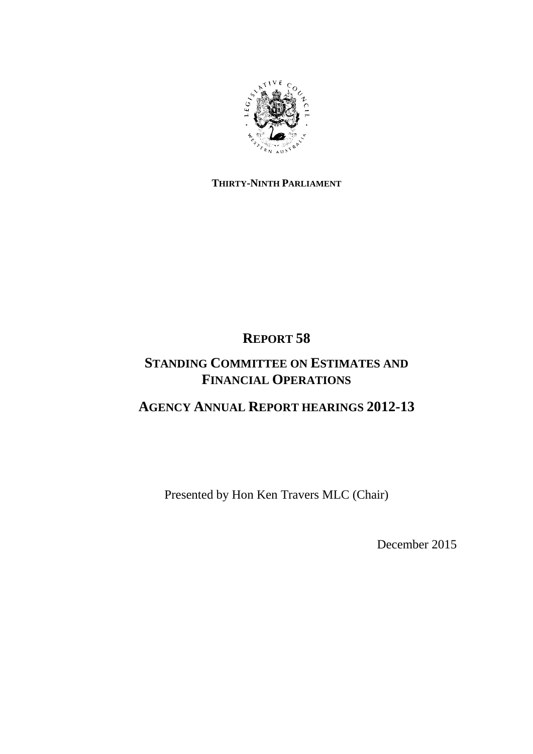

# **THIRTY-NINTH PARLIAMENT**

# **REPORT 58**

# **STANDING COMMITTEE ON ESTIMATES AND FINANCIAL OPERATIONS**

# **AGENCY ANNUAL REPORT HEARINGS 2012-13**

Presented by Hon Ken Travers MLC (Chair)

December 2015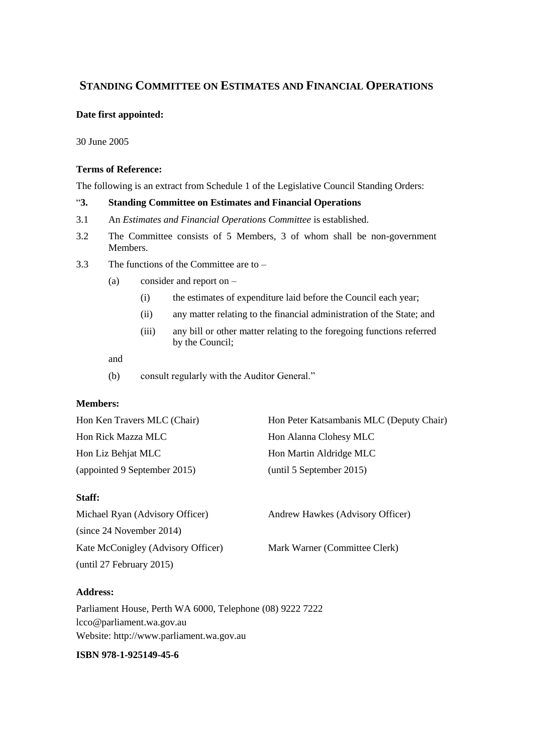# **STANDING COMMITTEE ON ESTIMATES AND FINANCIAL OPERATIONS**

### **Date first appointed:**

30 June 2005

### **Terms of Reference:**

The following is an extract from Schedule 1 of the Legislative Council Standing Orders:

# "**3. Standing Committee on Estimates and Financial Operations**

- 3.1 An *Estimates and Financial Operations Committee* is established.
- 3.2 The Committee consists of 5 Members, 3 of whom shall be non-government Members.
- 3.3 The functions of the Committee are to
	- (a) consider and report on
		- (i) the estimates of expenditure laid before the Council each year;
		- (ii) any matter relating to the financial administration of the State; and
		- (iii) any bill or other matter relating to the foregoing functions referred by the Council;

#### and

(b) consult regularly with the Auditor General."

# **Members:**

| Hon Ken Travers MLC (Chair)  | Hon Peter Katsambanis MLC (Deputy Chair) |
|------------------------------|------------------------------------------|
| Hon Rick Mazza MLC           | Hon Alanna Clohesy MLC                   |
| Hon Liz Behjat MLC           | Hon Martin Aldridge MLC                  |
| (appointed 9 September 2015) | (until 5 September 2015)                 |

# **Staff:**

| Michael Ryan (Advisory Officer)    | Andrew Hawkes (Advisory Officer) |
|------------------------------------|----------------------------------|
| (since 24 November 2014)           |                                  |
| Kate McConigley (Advisory Officer) | Mark Warner (Committee Clerk)    |
| (until 27 February 2015)           |                                  |

# **Address:**

Parliament House, Perth WA 6000, Telephone (08) 9222 7222 lcco@parliament.wa.gov.au Website: http://www.parliament.wa.gov.au

# **ISBN [978-1-925149-45-6](https://www.myidentifiers.com.au/myaccount_manageisbns_titlereg?isbn=978-1-925149-45-6&icon_type=new)**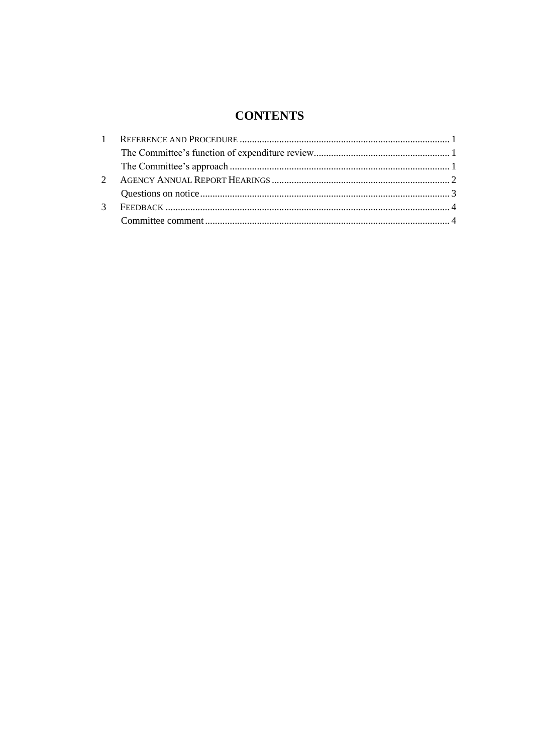# **CONTENTS**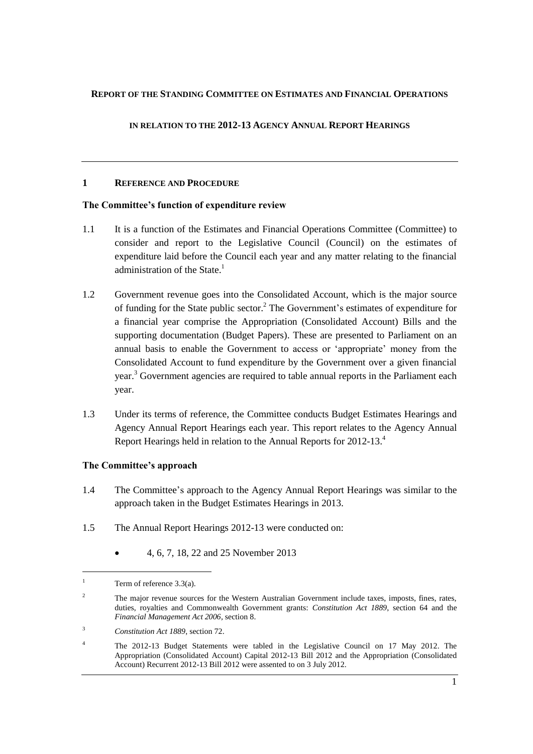#### **REPORT OF THE STANDING COMMITTEE ON ESTIMATES AND FINANCIAL OPERATIONS**

### **IN RELATION TO THE 2012-13 AGENCY ANNUAL REPORT HEARINGS**

#### <span id="page-4-0"></span>**1 REFERENCE AND PROCEDURE**

### <span id="page-4-1"></span>**The Committee's function of expenditure review**

- 1.1 It is a function of the Estimates and Financial Operations Committee (Committee) to consider and report to the Legislative Council (Council) on the estimates of expenditure laid before the Council each year and any matter relating to the financial administration of the State.<sup>1</sup>
- 1.2 Government revenue goes into the Consolidated Account, which is the major source of funding for the State public sector.<sup>2</sup> The Government's estimates of expenditure for a financial year comprise the Appropriation (Consolidated Account) Bills and the supporting documentation (Budget Papers). These are presented to Parliament on an annual basis to enable the Government to access or 'appropriate' money from the Consolidated Account to fund expenditure by the Government over a given financial year.<sup>3</sup> Government agencies are required to table annual reports in the Parliament each year.
- 1.3 Under its terms of reference, the Committee conducts Budget Estimates Hearings and Agency Annual Report Hearings each year. This report relates to the Agency Annual Report Hearings held in relation to the Annual Reports for 2012-13.<sup>4</sup>

#### <span id="page-4-2"></span>**The Committee's approach**

- 1.4 The Committee's approach to the Agency Annual Report Hearings was similar to the approach taken in the Budget Estimates Hearings in 2013.
- 1.5 The Annual Report Hearings 2012-13 were conducted on:
	- 4, 6, 7, 18, 22 and 25 November 2013

l

<sup>&</sup>lt;sup>1</sup> Term of reference  $3.3(a)$ .

<sup>&</sup>lt;sup>2</sup> The major revenue sources for the Western Australian Government include taxes, imposts, fines, rates, duties, royalties and Commonwealth Government grants: *Constitution Act 1889*, section 64 and the *Financial Management Act 2006,* section 8.

<sup>3</sup> *Constitution Act 1889*, section 72.

<sup>4</sup> The 2012-13 Budget Statements were tabled in the Legislative Council on 17 May 2012. The Appropriation (Consolidated Account) Capital 2012-13 Bill 2012 and the Appropriation (Consolidated Account) Recurrent 2012-13 Bill 2012 were assented to on 3 July 2012.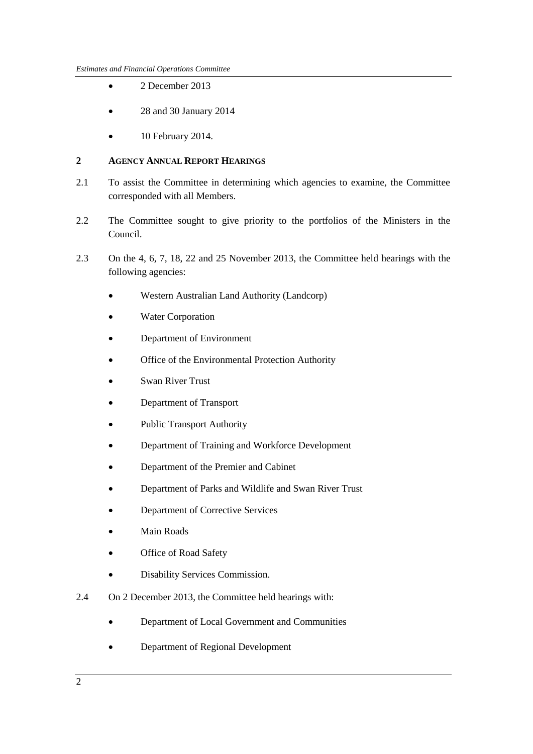- 2 December 2013
- 28 and 30 January 2014
- 10 February 2014.

#### <span id="page-5-0"></span>**2 AGENCY ANNUAL REPORT HEARINGS**

- 2.1 To assist the Committee in determining which agencies to examine, the Committee corresponded with all Members.
- 2.2 The Committee sought to give priority to the portfolios of the Ministers in the Council.
- 2.3 On the 4, 6, 7, 18, 22 and 25 November 2013, the Committee held hearings with the following agencies:
	- Western Australian Land Authority (Landcorp)
	- Water Corporation
	- Department of Environment
	- Office of the Environmental Protection Authority
	- Swan River Trust
	- Department of Transport
	- Public Transport Authority
	- Department of Training and Workforce Development
	- Department of the Premier and Cabinet
	- Department of Parks and Wildlife and Swan River Trust
	- Department of Corrective Services
	- Main Roads
	- Office of Road Safety
	- Disability Services Commission.
- 2.4 On 2 December 2013, the Committee held hearings with:
	- Department of Local Government and Communities
	- Department of Regional Development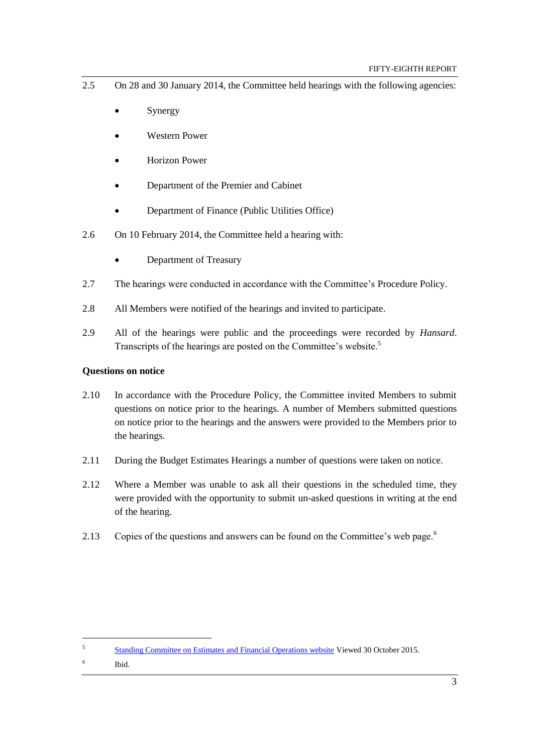- 2.5 On 28 and 30 January 2014, the Committee held hearings with the following agencies:
	- Synergy
	- Western Power
	- Horizon Power
	- Department of the Premier and Cabinet
	- Department of Finance (Public Utilities Office)
- 2.6 On 10 February 2014, the Committee held a hearing with:
	- Department of Treasury
- 2.7 The hearings were conducted in accordance with the Committee's Procedure Policy.
- 2.8 All Members were notified of the hearings and invited to participate.
- 2.9 All of the hearings were public and the proceedings were recorded by *Hansard*. Transcripts of the hearings are posted on the Committee's website.<sup>5</sup>

#### <span id="page-6-0"></span>**Questions on notice**

- 2.10 In accordance with the Procedure Policy, the Committee invited Members to submit questions on notice prior to the hearings. A number of Members submitted questions on notice prior to the hearings and the answers were provided to the Members prior to the hearings.
- 2.11 During the Budget Estimates Hearings a number of questions were taken on notice.
- 2.12 Where a Member was unable to ask all their questions in the scheduled time, they were provided with the opportunity to submit un-asked questions in writing at the end of the hearing.
- 2.13 Copies of the questions and answers can be found on the Committee's web page.<sup>6</sup>

 $\overline{a}$ 

<sup>5</sup> [Standing Committee on Estimates and Financial Operations website](http://intranet/parliament/commit.nsf/(EvidenceOnly)/EBB7953B229E7A6048257C0D001BFEEC?opendocument) Viewed 30 October 2015.

<sup>6</sup> Ibid.